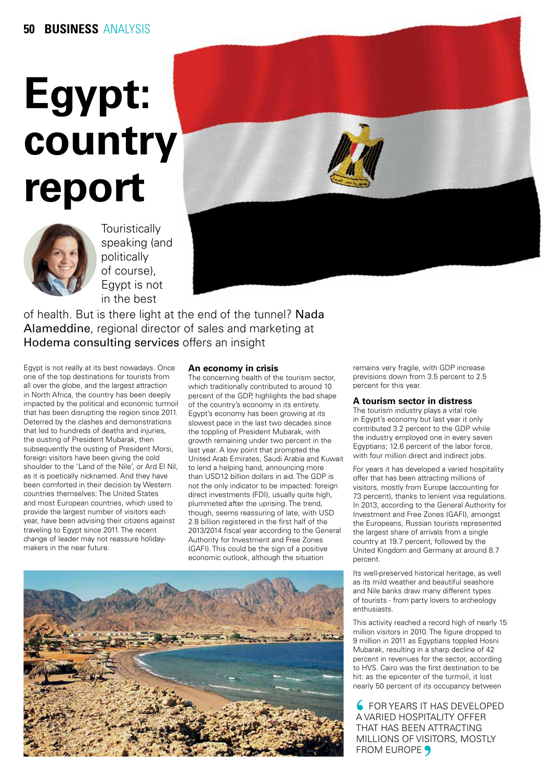# **Egypt: country report**



**Touristically** speaking (and politically of course), Egypt is not in the best



Egypt is not really at its best nowadays. Once one of the top destinations for tourists from all over the globe, and the largest attraction in North Africa, the country has been deeply impacted by the political and economic turmoil that has been disrupting the region since 2011. Deterred by the clashes and demonstrations that led to hundreds of deaths and injuries, the ousting of President Mubarak, then subsequently the ousting of President Morsi, foreign visitors have been giving the cold shoulder to the 'Land of the Nile', or Ard El Nil, as it is poetically nicknamed. And they have been comforted in their decision by Western countries themselves: The United States and most European countries, which used to provide the largest number of visitors each year, have been advising their citizens against traveling to Egypt since 2011. The recent change of leader may not reassure holidaymakers in the near future.

## **An economy in crisis**

The concerning health of the tourism sector, which traditionally contributed to around 10 percent of the GDP, highlights the bad shape of the country's economy in its entirety. Egypt's economy has been growing at its slowest pace in the last two decades since the toppling of President Mubarak, with growth remaining under two percent in the last year. A low point that prompted the United Arab Emirates, Saudi Arabia and Kuwait to lend a helping hand, announcing more than USD12 billion dollars in aid. The GDP is not the only indicator to be impacted: foreign direct investments (FDI), usually quite high, plummeted after the uprising. The trend, though, seems reassuring of late, with USD 2.8 billion registered in the first half of the 2013/2014 fiscal year according to the General Authority for Investment and Free Zones (GAFI). This could be the sign of a positive economic outlook, although the situation



remains very fragile, with GDP increase previsions down from 3.5 percent to 2.5 percent for this year.

### **A tourism sector in distress**

The tourism industry plays a vital role in Egypt's economy but last year it only contributed 3.2 percent to the GDP while the industry employed one in every seven Egyptians; 12.6 percent of the labor force, with four million direct and indirect jobs.

For years it has developed a varied hospitality offer that has been attracting millions of visitors, mostly from Europe (accounting for 73 percent), thanks to lenient visa regulations. In 2013, according to the General Authority for Investment and Free Zones (GAFI), amongst the Europeans, Russian tourists represented the largest share of arrivals from a single country at 19.7 percent, followed by the United Kingdom and Germany at around 8.7 percent.

Its well-preserved historical heritage, as well as its mild weather and beautiful seashore and Nile banks draw many different types of tourists - from party lovers to archeology enthusiasts.

This activity reached a record high of nearly 15 million visitors in 2010. The figure dropped to 9 million in 2011 as Egyptians toppled Hosni Mubarak, resulting in a sharp decline of 42 percent in revenues for the sector, according to HVS. Cairo was the first destination to be hit: as the epicenter of the turmoil, it lost nearly 50 percent of its occupancy between

**6 FOR YEARS IT HAS DEVELOPED** A VARIED HOSPITALITY OFFER THAT HAS BEEN ATTRACTING MILLIONS OF VISITORS, MOSTLY FROM EUROPE 9